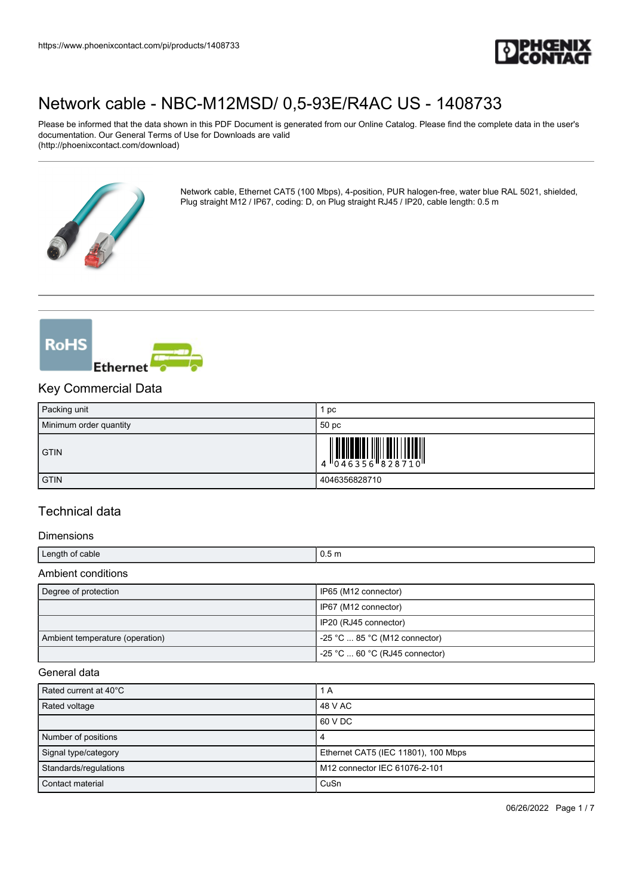

Please be informed that the data shown in this PDF Document is generated from our Online Catalog. Please find the complete data in the user's documentation. Our General Terms of Use for Downloads are valid (http://phoenixcontact.com/download)



Network cable, Ethernet CAT5 (100 Mbps), 4-position, PUR halogen-free, water blue RAL 5021, shielded, Plug straight M12 / IP67, coding: D, on Plug straight RJ45 / IP20, cable length: 0.5 m



### Key Commercial Data

| Packing unit           | рc            |
|------------------------|---------------|
| Minimum order quantity | 50 pc         |
| <b>GTIN</b>            |               |
| <b>GTIN</b>            | 4046356828710 |

## Technical data

### Dimensions

| Length of cable                 | 0.5 <sub>m</sub>                      |  |
|---------------------------------|---------------------------------------|--|
| Ambient conditions              |                                       |  |
| Degree of protection            | IP65 (M12 connector)                  |  |
|                                 | IP67 (M12 connector)                  |  |
|                                 | IP20 (RJ45 connector)                 |  |
| Ambient temperature (operation) | -25 °C  85 °C (M12 connector)         |  |
|                                 | -25 °C $\dots$ 60 °C (RJ45 connector) |  |

#### General data

| Rated current at 40°C | 1 A                                 |
|-----------------------|-------------------------------------|
| Rated voltage         | 48 V AC                             |
|                       | 60 V DC                             |
| Number of positions   | 4                                   |
| Signal type/category  | Ethernet CAT5 (IEC 11801), 100 Mbps |
| Standards/regulations | M12 connector IEC 61076-2-101       |
| Contact material      | CuSn                                |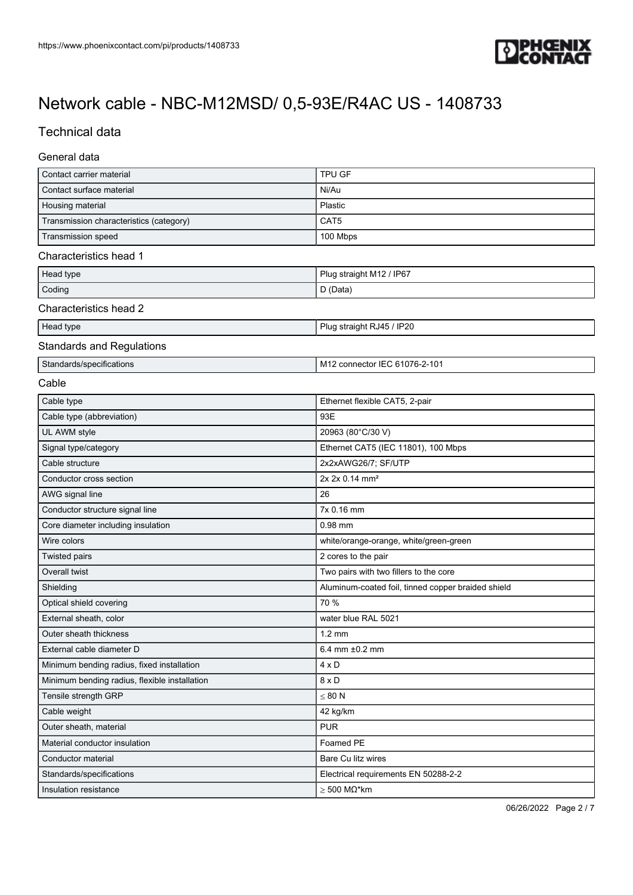

## Technical data

### General data

| Contact carrier material                      | TPU GF                                             |  |
|-----------------------------------------------|----------------------------------------------------|--|
| Contact surface material                      | Ni/Au                                              |  |
| Housing material                              | Plastic                                            |  |
| Transmission characteristics (category)       | CAT5                                               |  |
| Transmission speed                            | 100 Mbps                                           |  |
| Characteristics head 1                        |                                                    |  |
| Head type                                     | Plug straight M12 / IP67                           |  |
| Coding                                        | D (Data)                                           |  |
| Characteristics head 2                        |                                                    |  |
| Head type                                     | Plug straight RJ45 / IP20                          |  |
| <b>Standards and Regulations</b>              |                                                    |  |
| Standards/specifications                      | M12 connector IEC 61076-2-101                      |  |
| Cable                                         |                                                    |  |
| Cable type                                    | Ethernet flexible CAT5, 2-pair                     |  |
| Cable type (abbreviation)                     | 93E                                                |  |
| UL AWM style                                  | 20963 (80°C/30 V)                                  |  |
| Signal type/category                          | Ethernet CAT5 (IEC 11801), 100 Mbps                |  |
| Cable structure                               | 2x2xAWG26/7; SF/UTP                                |  |
| Conductor cross section                       | 2x 2x 0.14 mm <sup>2</sup>                         |  |
| AWG signal line                               | 26                                                 |  |
| Conductor structure signal line               | 7x 0.16 mm                                         |  |
| Core diameter including insulation            | $0.98$ mm                                          |  |
| Wire colors                                   | white/orange-orange, white/green-green             |  |
| <b>Twisted pairs</b>                          | 2 cores to the pair                                |  |
| Overall twist                                 | Two pairs with two fillers to the core             |  |
| Shielding                                     | Aluminum-coated foil, tinned copper braided shield |  |
| Optical shield covering                       | 70 %                                               |  |
| External sheath, color                        | water blue RAL 5021                                |  |
| Outer sheath thickness                        | $1.2 \text{ mm}$                                   |  |
| External cable diameter D                     | 6.4 mm ±0.2 mm                                     |  |
| Minimum bending radius, fixed installation    | 4 x D                                              |  |
| Minimum bending radius, flexible installation | $8 \times D$                                       |  |
| Tensile strength GRP                          | $\leq 80$ N                                        |  |
| Cable weight                                  | 42 kg/km                                           |  |
| Outer sheath, material                        | <b>PUR</b>                                         |  |
| Material conductor insulation                 | Foamed PE                                          |  |
| Conductor material                            | Bare Cu litz wires                                 |  |
| Standards/specifications                      | Electrical requirements EN 50288-2-2               |  |
| Insulation resistance                         | $\geq 500$ M $\Omega^*$ km                         |  |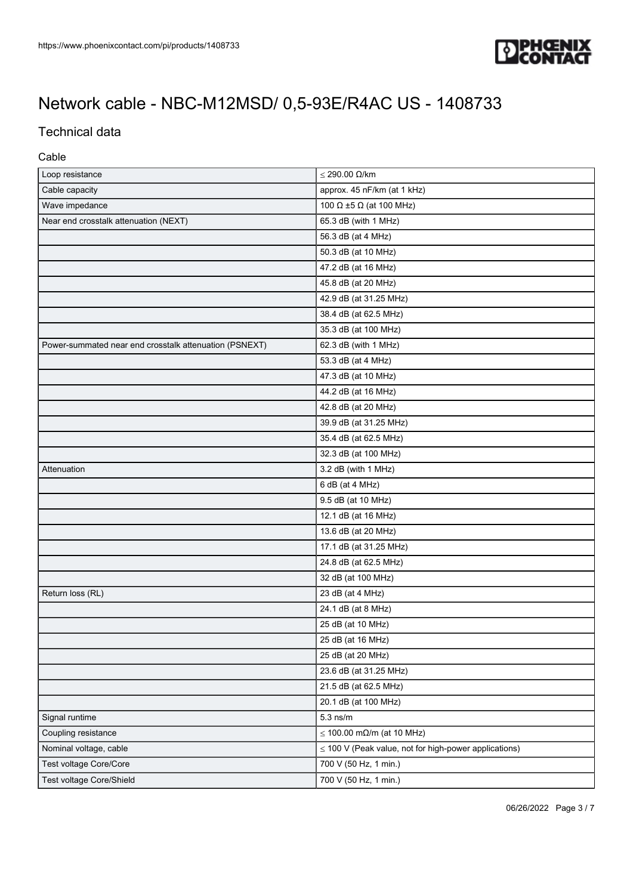

## Technical data

### Cable

| Loop resistance                                        | $≤$ 290.00 Ω/km                                            |
|--------------------------------------------------------|------------------------------------------------------------|
| Cable capacity                                         | approx. 45 nF/km (at 1 kHz)                                |
| Wave impedance                                         | 100 $\Omega$ ±5 $\Omega$ (at 100 MHz)                      |
| Near end crosstalk attenuation (NEXT)                  | 65.3 dB (with 1 MHz)                                       |
|                                                        | 56.3 dB (at 4 MHz)                                         |
|                                                        | 50.3 dB (at 10 MHz)                                        |
|                                                        | 47.2 dB (at 16 MHz)                                        |
|                                                        | 45.8 dB (at 20 MHz)                                        |
|                                                        | 42.9 dB (at 31.25 MHz)                                     |
|                                                        | 38.4 dB (at 62.5 MHz)                                      |
|                                                        | 35.3 dB (at 100 MHz)                                       |
| Power-summated near end crosstalk attenuation (PSNEXT) | 62.3 dB (with 1 MHz)                                       |
|                                                        | 53.3 dB (at 4 MHz)                                         |
|                                                        | 47.3 dB (at 10 MHz)                                        |
|                                                        | 44.2 dB (at 16 MHz)                                        |
|                                                        | 42.8 dB (at 20 MHz)                                        |
|                                                        | 39.9 dB (at 31.25 MHz)                                     |
|                                                        | 35.4 dB (at 62.5 MHz)                                      |
|                                                        | 32.3 dB (at 100 MHz)                                       |
| Attenuation                                            | 3.2 dB (with 1 MHz)                                        |
|                                                        | 6 dB (at 4 MHz)                                            |
|                                                        | 9.5 dB (at 10 MHz)                                         |
|                                                        | 12.1 dB (at 16 MHz)                                        |
|                                                        | 13.6 dB (at 20 MHz)                                        |
|                                                        | 17.1 dB (at 31.25 MHz)                                     |
|                                                        | 24.8 dB (at 62.5 MHz)                                      |
|                                                        | 32 dB (at 100 MHz)                                         |
| Return loss (RL)                                       | 23 dB (at 4 MHz)                                           |
|                                                        | 24.1 dB (at 8 MHz)                                         |
|                                                        | 25 dB (at 10 MHz)                                          |
|                                                        | 25 dB (at 16 MHz)                                          |
|                                                        | 25 dB (at 20 MHz)                                          |
|                                                        | 23.6 dB (at 31.25 MHz)                                     |
|                                                        | 21.5 dB (at 62.5 MHz)                                      |
|                                                        | 20.1 dB (at 100 MHz)                                       |
| Signal runtime                                         | $5.3$ ns/m                                                 |
| Coupling resistance                                    | $\leq$ 100.00 m $\Omega$ /m (at 10 MHz)                    |
| Nominal voltage, cable                                 | $\leq$ 100 V (Peak value, not for high-power applications) |
| Test voltage Core/Core                                 | 700 V (50 Hz, 1 min.)                                      |
| Test voltage Core/Shield                               | 700 V (50 Hz, 1 min.)                                      |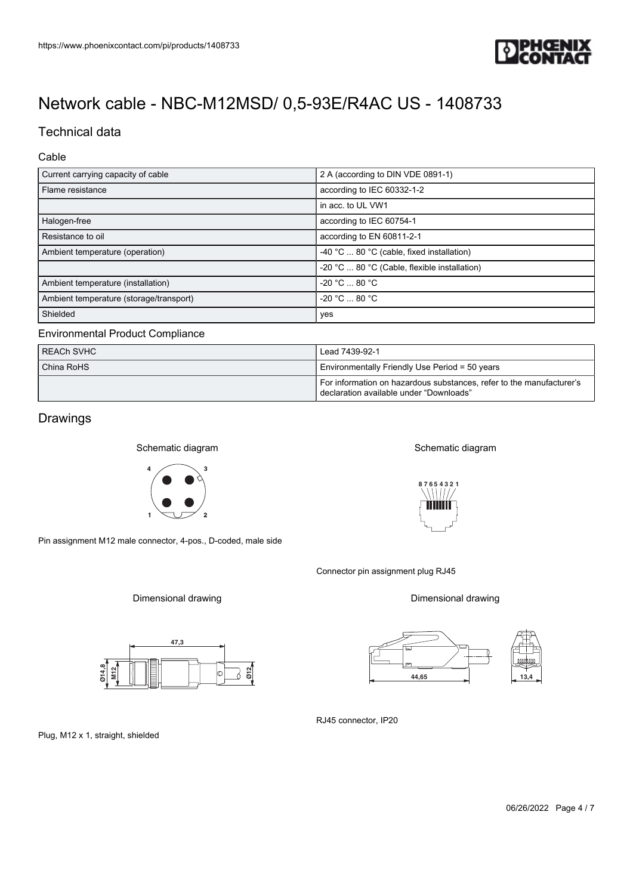

## Technical data

### Cable

| Current carrying capacity of cable<br>2 A (according to DIN VDE 0891-1) |                                              |  |
|-------------------------------------------------------------------------|----------------------------------------------|--|
| Flame resistance                                                        | according to IEC 60332-1-2                   |  |
|                                                                         | in acc. to UL VW1                            |  |
| Halogen-free                                                            | according to IEC 60754-1                     |  |
| Resistance to oil                                                       | according to EN 60811-2-1                    |  |
| Ambient temperature (operation)                                         | -40 °C  80 °C (cable, fixed installation)    |  |
|                                                                         | -20 °C  80 °C (Cable, flexible installation) |  |
| Ambient temperature (installation)                                      | $-20 °C  80 °C$                              |  |
| Ambient temperature (storage/transport)                                 | $-20 °C  80 °C$                              |  |
| Shielded                                                                | yes                                          |  |

### Environmental Product Compliance

| <b>REACH SVHC</b> | Lead 7439-92-1                                                                                                    |  |
|-------------------|-------------------------------------------------------------------------------------------------------------------|--|
| China RoHS        | Environmentally Friendly Use Period = 50 years                                                                    |  |
|                   | For information on hazardous substances, refer to the manufacturer's<br>l declaration available under "Downloads" |  |

## Drawings

Schematic diagram



Pin assignment M12 male connector, 4-pos., D-coded, male side

Dimensional drawing





Plug, M12 x 1, straight, shielded









Connector pin assignment plug RJ45

Dimensional drawing



RJ45 connector, IP20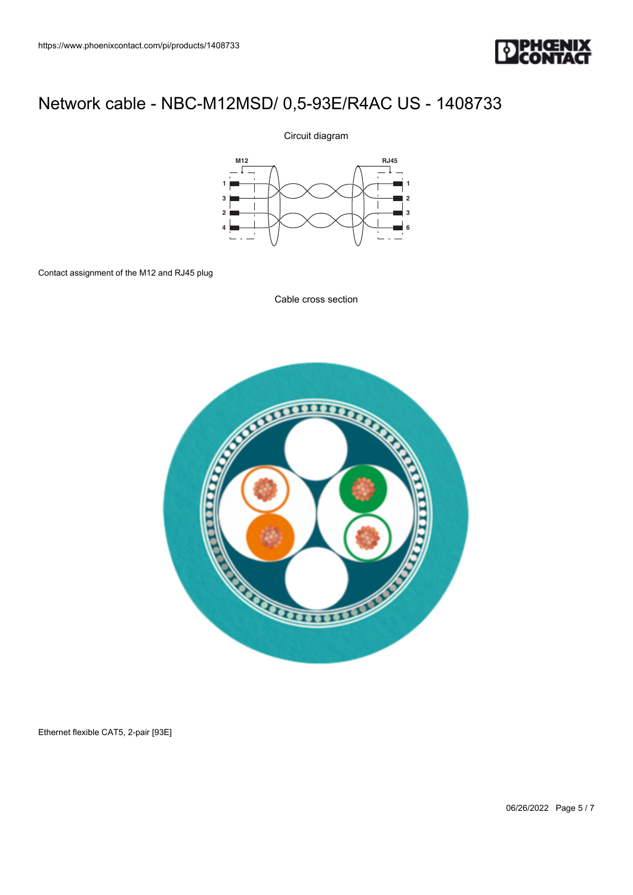

### Circuit diagram



Contact assignment of the M12 and RJ45 plug

Cable cross section



Ethernet flexible CAT5, 2-pair [93E]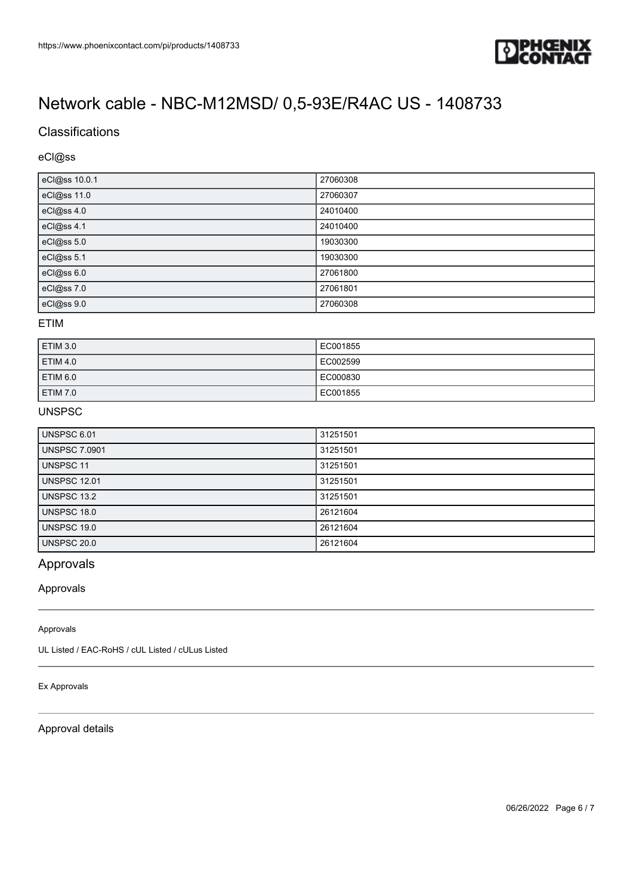

## **Classifications**

### eCl@ss

| eCl@ss 10.0.1 | 27060308 |
|---------------|----------|
| eCl@ss 11.0   | 27060307 |
| eCl@ss 4.0    | 24010400 |
| eCl@ss 4.1    | 24010400 |
| eCl@ss 5.0    | 19030300 |
| eCl@ss 5.1    | 19030300 |
| eCl@ss 6.0    | 27061800 |
| eCl@ss 7.0    | 27061801 |
| eCl@ss 9.0    | 27060308 |

### ETIM

| <b>ETIM 3.0</b> | EC001855 |
|-----------------|----------|
| <b>ETIM 4.0</b> | EC002599 |
| ETIM 6.0        | EC000830 |
| <b>ETIM 7.0</b> | EC001855 |

### UNSPSC

| <b>UNSPSC 6.01</b>   | 31251501 |
|----------------------|----------|
| <b>UNSPSC 7.0901</b> | 31251501 |
| UNSPSC 11            | 31251501 |
| <b>UNSPSC 12.01</b>  | 31251501 |
| UNSPSC 13.2          | 31251501 |
| UNSPSC 18.0          | 26121604 |
| UNSPSC 19.0          | 26121604 |
| <b>UNSPSC 20.0</b>   | 26121604 |

## Approvals

### Approvals

#### Approvals

UL Listed / EAC-RoHS / cUL Listed / cULus Listed

### Ex Approvals

### Approval details